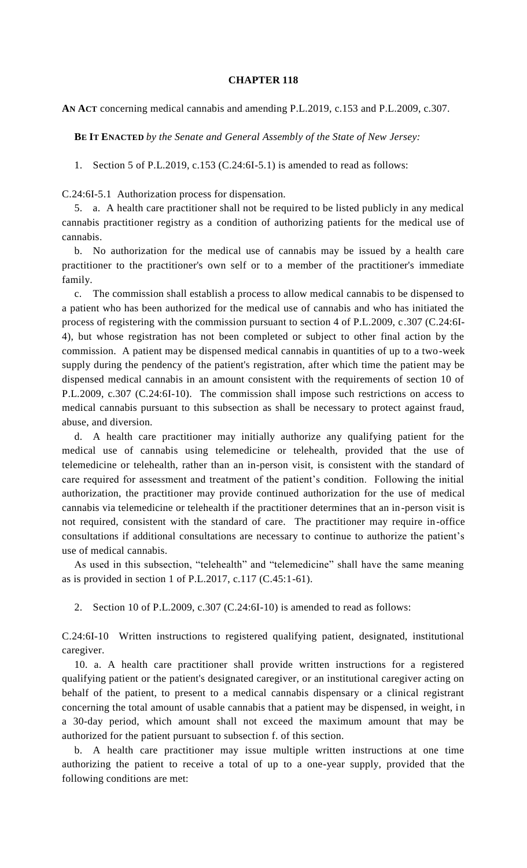## **CHAPTER 118**

**AN ACT** concerning medical cannabis and amending P.L.2019, c.153 and P.L.2009, c.307.

**BE IT ENACTED** *by the Senate and General Assembly of the State of New Jersey:*

1. Section 5 of P.L.2019, c.153 (C.24:6I-5.1) is amended to read as follows:

C.24:6I-5.1 Authorization process for dispensation.

5. a. A health care practitioner shall not be required to be listed publicly in any medical cannabis practitioner registry as a condition of authorizing patients for the medical use of cannabis.

b. No authorization for the medical use of cannabis may be issued by a health care practitioner to the practitioner's own self or to a member of the practitioner's immediate family.

c. The commission shall establish a process to allow medical cannabis to be dispensed to a patient who has been authorized for the medical use of cannabis and who has initiated the process of registering with the commission pursuant to section 4 of P.L.2009, c.307 (C.24:6I-4), but whose registration has not been completed or subject to other final action by the commission. A patient may be dispensed medical cannabis in quantities of up to a two-week supply during the pendency of the patient's registration, after which time the patient may be dispensed medical cannabis in an amount consistent with the requirements of section 10 of P.L.2009, c.307 (C.24:6I-10). The commission shall impose such restrictions on access to medical cannabis pursuant to this subsection as shall be necessary to protect against fraud, abuse, and diversion.

d. A health care practitioner may initially authorize any qualifying patient for the medical use of cannabis using telemedicine or telehealth, provided that the use of telemedicine or telehealth, rather than an in-person visit, is consistent with the standard of care required for assessment and treatment of the patient's condition. Following the initial authorization, the practitioner may provide continued authorization for the use of medical cannabis via telemedicine or telehealth if the practitioner determines that an in-person visit is not required, consistent with the standard of care. The practitioner may require in-office consultations if additional consultations are necessary to continue to authorize the patient's use of medical cannabis.

As used in this subsection, "telehealth" and "telemedicine" shall have the same meaning as is provided in section 1 of P.L.2017, c.117 (C.45:1-61).

2. Section 10 of P.L.2009, c.307 (C.24:6I-10) is amended to read as follows:

C.24:6I-10 Written instructions to registered qualifying patient, designated, institutional caregiver.

10. a. A health care practitioner shall provide written instructions for a registered qualifying patient or the patient's designated caregiver, or an institutional caregiver acting on behalf of the patient, to present to a medical cannabis dispensary or a clinical registrant concerning the total amount of usable cannabis that a patient may be dispensed, in weight, in a 30-day period, which amount shall not exceed the maximum amount that may be authorized for the patient pursuant to subsection f. of this section.

b. A health care practitioner may issue multiple written instructions at one time authorizing the patient to receive a total of up to a one-year supply, provided that the following conditions are met: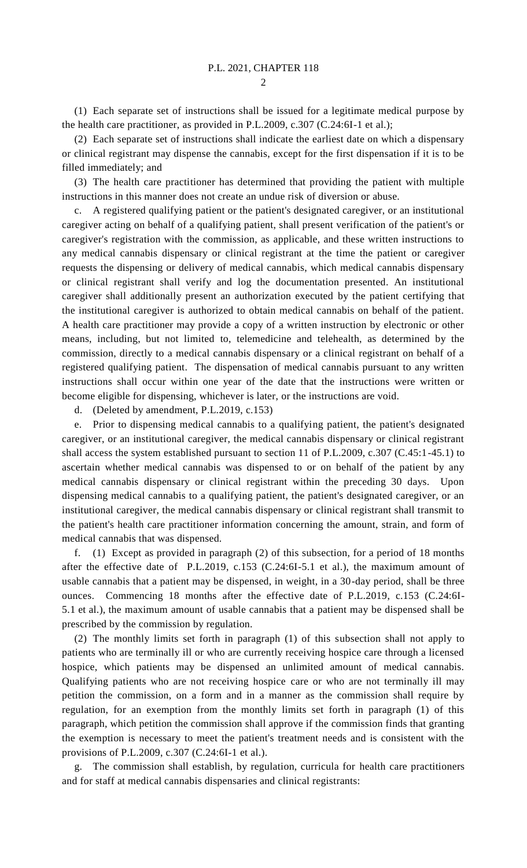(1) Each separate set of instructions shall be issued for a legitimate medical purpose by the health care practitioner, as provided in P.L.2009, c.307 (C.24:6I-1 et al.);

(2) Each separate set of instructions shall indicate the earliest date on which a dispensary or clinical registrant may dispense the cannabis, except for the first dispensation if it is to be filled immediately; and

(3) The health care practitioner has determined that providing the patient with multiple instructions in this manner does not create an undue risk of diversion or abuse.

c. A registered qualifying patient or the patient's designated caregiver, or an institutional caregiver acting on behalf of a qualifying patient, shall present verification of the patient's or caregiver's registration with the commission, as applicable, and these written instructions to any medical cannabis dispensary or clinical registrant at the time the patient or caregiver requests the dispensing or delivery of medical cannabis, which medical cannabis dispensary or clinical registrant shall verify and log the documentation presented. An institutional caregiver shall additionally present an authorization executed by the patient certifying that the institutional caregiver is authorized to obtain medical cannabis on behalf of the patient. A health care practitioner may provide a copy of a written instruction by electronic or other means, including, but not limited to, telemedicine and telehealth, as determined by the commission, directly to a medical cannabis dispensary or a clinical registrant on behalf of a registered qualifying patient. The dispensation of medical cannabis pursuant to any written instructions shall occur within one year of the date that the instructions were written or become eligible for dispensing, whichever is later, or the instructions are void.

d. (Deleted by amendment, P.L.2019, c.153)

e. Prior to dispensing medical cannabis to a qualifying patient, the patient's designated caregiver, or an institutional caregiver, the medical cannabis dispensary or clinical registrant shall access the system established pursuant to section 11 of P.L.2009, c.307 (C.45:1-45.1) to ascertain whether medical cannabis was dispensed to or on behalf of the patient by any medical cannabis dispensary or clinical registrant within the preceding 30 days. Upon dispensing medical cannabis to a qualifying patient, the patient's designated caregiver, or an institutional caregiver, the medical cannabis dispensary or clinical registrant shall transmit to the patient's health care practitioner information concerning the amount, strain, and form of medical cannabis that was dispensed.

f. (1) Except as provided in paragraph (2) of this subsection, for a period of 18 months after the effective date of P.L.2019, c.153 (C.24:6I-5.1 et al.), the maximum amount of usable cannabis that a patient may be dispensed, in weight, in a 30-day period, shall be three ounces. Commencing 18 months after the effective date of P.L.2019, c.153 (C.24:6I-5.1 et al.), the maximum amount of usable cannabis that a patient may be dispensed shall be prescribed by the commission by regulation.

(2) The monthly limits set forth in paragraph (1) of this subsection shall not apply to patients who are terminally ill or who are currently receiving hospice care through a licensed hospice, which patients may be dispensed an unlimited amount of medical cannabis. Qualifying patients who are not receiving hospice care or who are not terminally ill may petition the commission, on a form and in a manner as the commission shall require by regulation, for an exemption from the monthly limits set forth in paragraph (1) of this paragraph, which petition the commission shall approve if the commission finds that granting the exemption is necessary to meet the patient's treatment needs and is consistent with the provisions of P.L.2009, c.307 (C.24:6I-1 et al.).

g. The commission shall establish, by regulation, curricula for health care practitioners and for staff at medical cannabis dispensaries and clinical registrants: